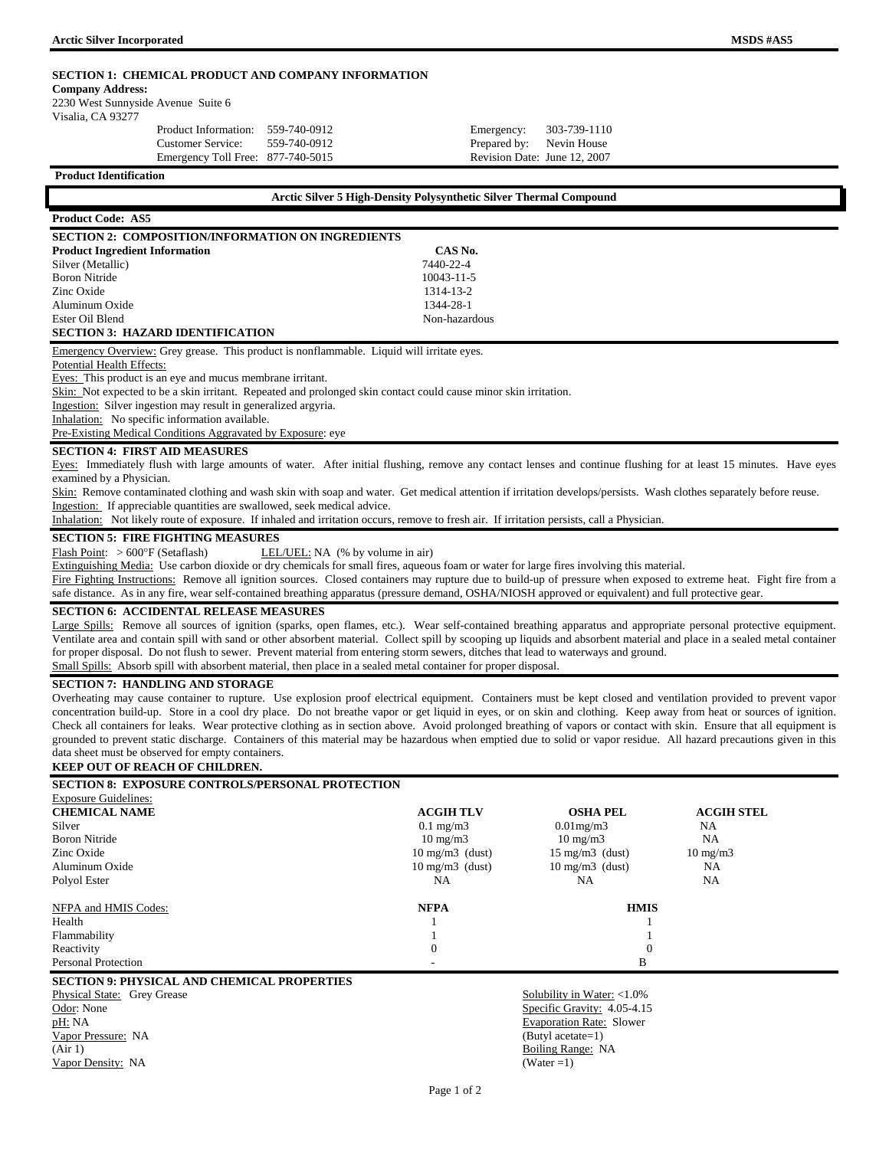**Company Address:** 

2230 West Sunnyside Avenue Suite 6

Visalia, CA 93277

|  |  | Product Information: 559-740-0912<br>Customer Service:<br>Emergency Toll Free: 877-740-5015 | 559-740-0912 | Emergency: 303-739-1110<br>Prepared by: Nevin House<br>Revision Date: June 12, 2007 |  |
|--|--|---------------------------------------------------------------------------------------------|--------------|-------------------------------------------------------------------------------------|--|
|--|--|---------------------------------------------------------------------------------------------|--------------|-------------------------------------------------------------------------------------|--|

**Product Identification** 

| Arctic Silver 5 High-Density Polysynthetic Silver Thermal Compound                        |                  |  |  |  |  |
|-------------------------------------------------------------------------------------------|------------------|--|--|--|--|
| <b>Product Code: AS5</b>                                                                  |                  |  |  |  |  |
| <b>SECTION 2: COMPOSITION/INFORMATION ON INGREDIENTS</b>                                  |                  |  |  |  |  |
| <b>Product Ingredient Information</b>                                                     | CAS No.          |  |  |  |  |
| Silver (Metallic)                                                                         | 7440-22-4        |  |  |  |  |
| <b>Boron Nitride</b>                                                                      | $10043 - 11 - 5$ |  |  |  |  |
| Zinc Oxide                                                                                | 1314-13-2        |  |  |  |  |
| Aluminum Oxide                                                                            | 1344-28-1        |  |  |  |  |
| Ester Oil Blend                                                                           | Non-hazardous    |  |  |  |  |
| <b>SECTION 3: HAZARD IDENTIFICATION</b>                                                   |                  |  |  |  |  |
| Emergency Overview: Grey grease. This product is nonflammable. Liquid will irritate eyes. |                  |  |  |  |  |
| Potential Health Effects:                                                                 |                  |  |  |  |  |

Eyes: This product is an eye and mucus membrane irritant.

Skin: Not expected to be a skin irritant. Repeated and prolonged skin contact could cause minor skin irritation.

Ingestion: Silver ingestion may result in generalized argyria.

Inhalation: No specific information available.

Pre-Existing Medical Conditions Aggravated by Exposure: eye

# **SECTION 4: FIRST AID MEASURES**

Eyes: Immediately flush with large amounts of water. After initial flushing, remove any contact lenses and continue flushing for at least 15 minutes. Have eyes examined by a Physician.

Skin: Remove contaminated clothing and wash skin with soap and water. Get medical attention if irritation develops/persists. Wash clothes separately before reuse. Ingestion: If appreciable quantities are swallowed, seek medical advice.

Inhalation: Not likely route of exposure. If inhaled and irritation occurs, remove to fresh air. If irritation persists, call a Physician.

# **SECTION 5: FIRE FIGHTING MEASURES**

Flash Point: > 600°F (Setaflash) LEL/UEL: NA (% by volume in air)

Extinguishing Media: Use carbon dioxide or dry chemicals for small fires, aqueous foam or water for large fires involving this material.

Fire Fighting Instructions: Remove all ignition sources. Closed containers may rupture due to build-up of pressure when exposed to extreme heat. Fight fire from a safe distance. As in any fire, wear self-contained breathing apparatus (pressure demand, OSHA/NIOSH approved or equivalent) and full protective gear.

# **SECTION 6: ACCIDENTAL RELEASE MEASURES**

Large Spills: Remove all sources of ignition (sparks, open flames, etc.). Wear self-contained breathing apparatus and appropriate personal protective equipment. Ventilate area and contain spill with sand or other absorbent material. Collect spill by scooping up liquids and absorbent material and place in a sealed metal container for proper disposal. Do not flush to sewer. Prevent material from entering storm sewers, ditches that lead to waterways and ground. Small Spills: Absorb spill with absorbent material, then place in a sealed metal container for proper disposal.

# **SECTION 7: HANDLING AND STORAGE**

Overheating may cause container to rupture. Use explosion proof electrical equipment. Containers must be kept closed and ventilation provided to prevent vapor concentration build-up. Store in a cool dry place. Do not breathe vapor or get liquid in eyes, or on skin and clothing. Keep away from heat or sources of ignition. Check all containers for leaks. Wear protective clothing as in section above. Avoid prolonged breathing of vapors or contact with skin. Ensure that all equipment is grounded to prevent static discharge. Containers of this material may be hazardous when emptied due to solid or vapor residue. All hazard precautions given in this data sheet must be observed for empty containers.

# **KEEP OUT OF REACH OF CHILDREN.**

| <b>SECTION 8: EXPOSURE CONTROLS/PERSONAL PROTECTION</b> |                                 |                          |                   |
|---------------------------------------------------------|---------------------------------|--------------------------|-------------------|
| <b>Exposure Guidelines:</b>                             |                                 |                          |                   |
| <b>CHEMICAL NAME</b>                                    | <b>ACGIH TLV</b>                | <b>OSHA PEL</b>          | <b>ACGIH STEL</b> |
| Silver                                                  | $0.1 \text{ mg/m}$              | $0.01$ mg/m $3$          | NA                |
| <b>Boron Nitride</b>                                    | $10 \text{ mg/m}$               | $10 \text{ mg/m}$        | NA                |
| Zinc Oxide                                              | $10 \text{ mg/m}$ (dust)        | $15 \text{ mg/m}$ (dust) | $10 \text{ mg/m}$ |
| Aluminum Oxide                                          | $10 \text{ mg/m}$ (dust)        | $10 \text{ mg/m}$ (dust) | NA                |
| Polyol Ester                                            | NA                              | NA                       | NA.               |
| NFPA and HMIS Codes:                                    | <b>NFPA</b>                     | <b>HMIS</b>              |                   |
| Health                                                  |                                 |                          |                   |
| Flammability                                            |                                 |                          |                   |
| Reactivity                                              | $\theta$                        |                          |                   |
| <b>Personal Protection</b>                              |                                 | B                        |                   |
| <b>SECTION 9: PHYSICAL AND CHEMICAL PROPERTIES</b>      |                                 |                          |                   |
| Physical State: Grey Grease                             | Solubility in Water: $<1.0\%$   |                          |                   |
| Odor: None                                              | Specific Gravity: 4.05-4.15     |                          |                   |
| pH: NA                                                  | <b>Evaporation Rate: Slower</b> |                          |                   |
| Vapor Pressure: NA                                      |                                 | (Butyl acetate=1)        |                   |

(Air 1) Boiling Range: NA Vapor Density: NA (Water =1)